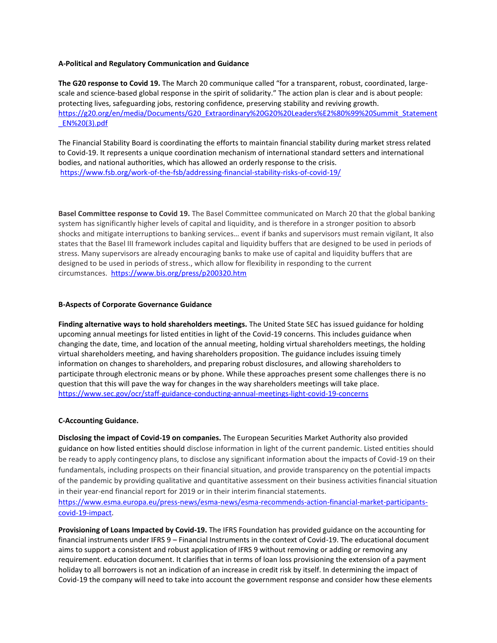### **A-Political and Regulatory Communication and Guidance**

**The G20 response to Covid 19.** The March 20 communique called "for a transparent, robust, coordinated, largescale and science-based global response in the spirit of solidarity." The action plan is clear and is about people: protecting lives, safeguarding jobs, restoring confidence, preserving stability and reviving growth. [https://g20.org/en/media/Documents/G20\\_Extraordinary%20G20%20Leaders%E2%80%99%20Summit\\_Statement](https://g20.org/en/media/Documents/G20_Extraordinary%20G20%20Leaders%E2%80%99%20Summit_Statement_EN%20(3).pdf) [\\_EN%20\(3\).pdf](https://g20.org/en/media/Documents/G20_Extraordinary%20G20%20Leaders%E2%80%99%20Summit_Statement_EN%20(3).pdf)

The Financial Stability Board is coordinating the efforts to maintain financial stability during market stress related to Covid-19. It represents a unique coordination mechanism of international standard setters and international bodies, and national authorities, which has allowed an orderly response to the crisis. <https://www.fsb.org/work-of-the-fsb/addressing-financial-stability-risks-of-covid-19/>

**Basel Committee response to Covid 19.** The Basel Committee communicated on March 20 that the global banking system has significantly higher levels of capital and liquidity, and is therefore in a stronger position to absorb shocks and mitigate interruptions to banking services… event if banks and supervisors must remain vigilant, It also states that the Basel III framework includes capital and liquidity buffers that are designed to be used in periods of stress. Many supervisors are already encouraging banks to make use of capital and liquidity buffers that are designed to be used in periods of stress., which allow for flexibility in responding to the current circumstances. <https://www.bis.org/press/p200320.htm>

## **B-Aspects of Corporate Governance Guidance**

**Finding alternative ways to hold shareholders meetings.** The United State SEC has issued guidance for holding upcoming annual meetings for listed entities in light of the Covid-19 concerns. This includes guidance when changing the date, time, and location of the annual meeting, holding virtual shareholders meetings, the holding virtual shareholders meeting, and having shareholders proposition. The guidance includes issuing timely information on changes to shareholders, and preparing robust disclosures, and allowing shareholders to participate through electronic means or by phone. While these approaches present some challenges there is no question that this will pave the way for changes in the way shareholders meetings will take place. <https://www.sec.gov/ocr/staff-guidance-conducting-annual-meetings-light-covid-19-concerns>

## **C-Accounting Guidance.**

**Disclosing the impact of Covid-19 on companies.** The European Securities Market Authority also provided guidance on how listed entities should disclose information in light of the current pandemic. Listed entities should be ready to apply contingency plans, to disclose any significant information about the impacts of Covid-19 on their fundamentals, including prospects on their financial situation, and provide transparency on the potential impacts of the pandemic by providing qualitative and quantitative assessment on their business activities financial situation in their year-end financial report for 2019 or in their interim financial statements.

[https://www.esma.europa.eu/press-news/esma-news/esma-recommends-action-financial-market-participants](https://www.esma.europa.eu/press-news/esma-news/esma-recommends-action-financial-market-participants-covid-19-impact)[covid-19-impact.](https://www.esma.europa.eu/press-news/esma-news/esma-recommends-action-financial-market-participants-covid-19-impact)

**Provisioning of Loans Impacted by Covid-19.** The IFRS Foundation has provided guidance on the accounting for financial instruments under IFRS 9 – Financial Instruments in the context of Covid-19. The educational document aims to support a consistent and robust application of IFRS 9 without removing or adding or removing any requirement. education document. It clarifies that in terms of loan loss provisioning the extension of a payment holiday to all borrowers is not an indication of an increase in credit risk by itself. In determining the impact of Covid-19 the company will need to take into account the government response and consider how these elements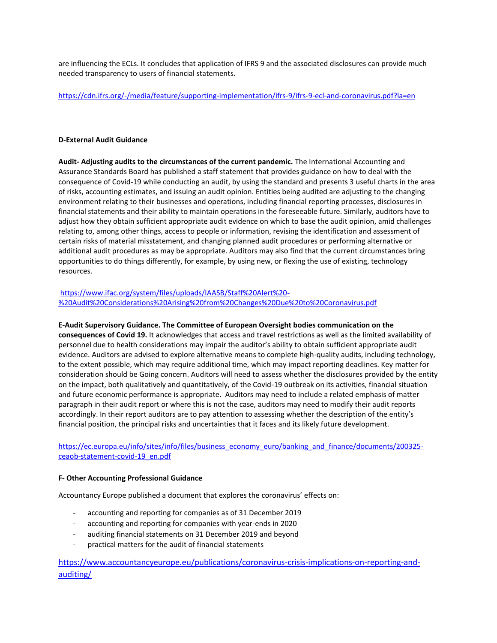are influencing the ECLs. It concludes that application of IFRS 9 and the associated disclosures can provide much needed transparency to users of financial statements.

<https://cdn.ifrs.org/-/media/feature/supporting-implementation/ifrs-9/ifrs-9-ecl-and-coronavirus.pdf?la=en>

## **D-External Audit Guidance**

**Audit- Adjusting audits to the circumstances of the current pandemic.** The International Accounting and Assurance Standards Board has published a staff statement that provides guidance on how to deal with the consequence of Covid-19 while conducting an audit, by using the standard and presents 3 useful charts in the area of risks, accounting estimates, and issuing an audit opinion. Entities being audited are adjusting to the changing environment relating to their businesses and operations, including financial reporting processes, disclosures in financial statements and their ability to maintain operations in the foreseeable future. Similarly, auditors have to adjust how they obtain sufficient appropriate audit evidence on which to base the audit opinion, amid challenges relating to, among other things, access to people or information, revising the identification and assessment of certain risks of material misstatement, and changing planned audit procedures or performing alternative or additional audit procedures as may be appropriate. Auditors may also find that the current circumstances bring opportunities to do things differently, for example, by using new, or flexing the use of existing, technology resources.

# [https://www.ifac.org/system/files/uploads/IAASB/Staff%20Alert%20-](https://www.ifac.org/system/files/uploads/IAASB/Staff%20Alert%20-%20Audit%20Considerations%20Arising%20from%20Changes%20Due%20to%20Coronavirus.pdf) [%20Audit%20Considerations%20Arising%20from%20Changes%20Due%20to%20Coronavirus.pdf](https://www.ifac.org/system/files/uploads/IAASB/Staff%20Alert%20-%20Audit%20Considerations%20Arising%20from%20Changes%20Due%20to%20Coronavirus.pdf)

# **E-Audit Supervisory Guidance. The Committee of European Oversight bodies communication on the**

**consequences of Covid 19.** It acknowledges that access and travel restrictions as well as the limited availability of personnel due to health considerations may impair the auditor's ability to obtain sufficient appropriate audit evidence. Auditors are advised to explore alternative means to complete high-quality audits, including technology, to the extent possible, which may require additional time, which may impact reporting deadlines. Key matter for consideration should be Going concern. Auditors will need to assess whether the disclosures provided by the entity on the impact, both qualitatively and quantitatively, of the Covid-19 outbreak on its activities, financial situation and future economic performance is appropriate. Auditors may need to include a related emphasis of matter paragraph in their audit report or where this is not the case, auditors may need to modify their audit reports accordingly. In their report auditors are to pay attention to assessing whether the description of the entity's financial position, the principal risks and uncertainties that it faces and its likely future development.

[https://ec.europa.eu/info/sites/info/files/business\\_economy\\_euro/banking\\_and\\_finance/documents/200325](https://ec.europa.eu/info/sites/info/files/business_economy_euro/banking_and_finance/documents/200325-ceaob-statement-covid-19_en.pdf) [ceaob-statement-covid-19\\_en.pdf](https://ec.europa.eu/info/sites/info/files/business_economy_euro/banking_and_finance/documents/200325-ceaob-statement-covid-19_en.pdf)

## **F- Other Accounting Professional Guidance**

Accountancy Europe published a document that explores the coronavirus' effects on:

- accounting and reporting for companies as of 31 December 2019
- accounting and reporting for companies with year-ends in 2020
- auditing financial statements on 31 December 2019 and beyond
- practical matters for the audit of financial statements

[https://www.accountancyeurope.eu/publications/coronavirus-crisis-implications-on-reporting-and](https://www.accountancyeurope.eu/publications/coronavirus-crisis-implications-on-reporting-and-auditing/)[auditing/](https://www.accountancyeurope.eu/publications/coronavirus-crisis-implications-on-reporting-and-auditing/)